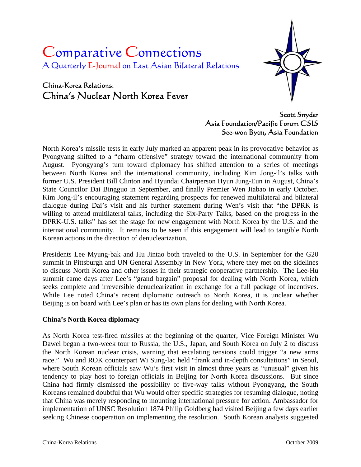# Comparative Connections A Quarterly E-Journal on East Asian Bilateral Relations

## China-Korea Relations: China's Nuclear North Korea Fever



Scott Snyder Asia Foundation/Pacific Forum CSIS See-won Byun, Asia Foundation

North Korea's missile tests in early July marked an apparent peak in its provocative behavior as Pyongyang shifted to a "charm offensive" strategy toward the international community from August. Pyongyang's turn toward diplomacy has shifted attention to a series of meetings between North Korea and the international community, including Kim Jong-il's talks with former U.S. President Bill Clinton and Hyundai Chairperson Hyun Jung-Eun in August, China's State Councilor Dai Bingguo in September, and finally Premier Wen Jiabao in early October. Kim Jong-il's encouraging statement regarding prospects for renewed multilateral and bilateral dialogue during Dai's visit and his further statement during Wen's visit that "the DPRK is willing to attend multilateral talks, including the Six-Party Talks, based on the progress in the DPRK-U.S. talks" has set the stage for new engagement with North Korea by the U.S. and the international community. It remains to be seen if this engagement will lead to tangible North Korean actions in the direction of denuclearization.

Presidents Lee Myung-bak and Hu Jintao both traveled to the U.S. in September for the G20 summit in Pittsburgh and UN General Assembly in New York, where they met on the sidelines to discuss North Korea and other issues in their strategic cooperative partnership. The Lee-Hu summit came days after Lee's "grand bargain" proposal for dealing with North Korea, which seeks complete and irreversible denuclearization in exchange for a full package of incentives. While Lee noted China's recent diplomatic outreach to North Korea, it is unclear whether Beijing is on board with Lee's plan or has its own plans for dealing with North Korea.

## **China's North Korea diplomacy**

As North Korea test-fired missiles at the beginning of the quarter, Vice Foreign Minister Wu Dawei began a two-week tour to Russia, the U.S., Japan, and South Korea on July 2 to discuss the North Korean nuclear crisis, warning that escalating tensions could trigger "a new arms race." Wu and ROK counterpart Wi Sung-lac held "frank and in-depth consultations" in Seoul, where South Korean officials saw Wu's first visit in almost three years as "unusual" given his tendency to play host to foreign officials in Beijing for North Korea discussions. But since China had firmly dismissed the possibility of five-way talks without Pyongyang, the South Koreans remained doubtful that Wu would offer specific strategies for resuming dialogue, noting that China was merely responding to mounting international pressure for action. Ambassador for implementation of UNSC Resolution 1874 Philip Goldberg had visited Beijing a few days earlier seeking Chinese cooperation on implementing the resolution. South Korean analysts suggested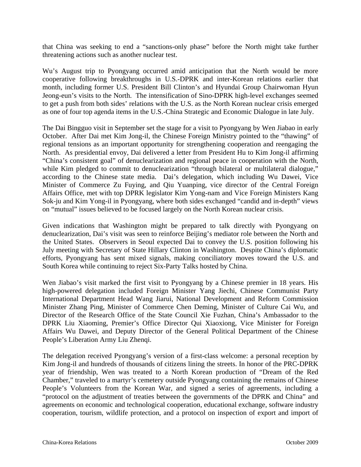that China was seeking to end a "sanctions-only phase" before the North might take further threatening actions such as another nuclear test.

Wu's August trip to Pyongyang occurred amid anticipation that the North would be more cooperative following breakthroughs in U.S.-DPRK and inter-Korean relations earlier that month, including former U.S. President Bill Clinton's and Hyundai Group Chairwoman Hyun Jeong-eun's visits to the North. The intensification of Sino-DPRK high-level exchanges seemed to get a push from both sides' relations with the U.S. as the North Korean nuclear crisis emerged as one of four top agenda items in the U.S.-China Strategic and Economic Dialogue in late July.

The Dai Bingguo visit in September set the stage for a visit to Pyongyang by Wen Jiabao in early October. After Dai met Kim Jong-il, the Chinese Foreign Ministry pointed to the "thawing" of regional tensions as an important opportunity for strengthening cooperation and reengaging the North. As presidential envoy, Dai delivered a letter from President Hu to Kim Jong-il affirming "China's consistent goal" of denuclearization and regional peace in cooperation with the North, while Kim pledged to commit to denuclearization "through bilateral or multilateral dialogue," according to the Chinese state media. Dai's delegation, which including Wu Dawei, Vice Minister of Commerce Zu Fuying, and Qiu Yuanping, vice director of the Central Foreign Affairs Office, met with top DPRK legislator Kim Yong-nam and Vice Foreign Ministers Kang Sok-ju and Kim Yong-il in Pyongyang, where both sides exchanged "candid and in-depth" views on "mutual" issues believed to be focused largely on the North Korean nuclear crisis.

Given indications that Washington might be prepared to talk directly with Pyongyang on denuclearization, Dai's visit was seen to reinforce Beijing's mediator role between the North and the United States. Observers in Seoul expected Dai to convey the U.S. position following his July meeting with Secretary of State Hillary Clinton in Washington. Despite China's diplomatic efforts, Pyongyang has sent mixed signals, making conciliatory moves toward the U.S. and South Korea while continuing to reject Six-Party Talks hosted by China.

Wen Jiabao's visit marked the first visit to Pyongyang by a Chinese premier in 18 years. His high-powered delegation included Foreign Minister Yang Jiechi, Chinese Communist Party International Department Head Wang Jiarui, National Development and Reform Commission Minister Zhang Ping, Minister of Commerce Chen Deming, Minister of Culture Cai Wu, and Director of the Research Office of the State Council Xie Fuzhan, China's Ambassador to the DPRK Liu Xiaoming, Premier's Office Director Qui Xiaoxiong, Vice Minister for Foreign Affairs Wu Dawei, and Deputy Director of the General Political Department of the Chinese People's Liberation Army Liu Zhenqi.

The delegation received Pyongyang's version of a first-class welcome: a personal reception by Kim Jong-il and hundreds of thousands of citizens lining the streets. In honor of the PRC-DPRK year of friendship, Wen was treated to a North Korean production of "Dream of the Red Chamber," traveled to a martyr's cemetery outside Pyongyang containing the remains of Chinese People's Volunteers from the Korean War, and signed a series of agreements, including a "protocol on the adjustment of treaties between the governments of the DPRK and China" and agreements on economic and technological cooperation, educational exchange, software industry cooperation, tourism, wildlife protection, and a protocol on inspection of export and import of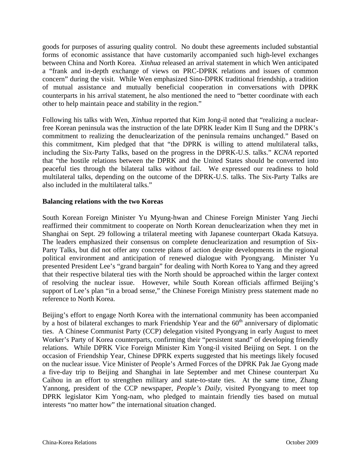goods for purposes of assuring quality control. No doubt these agreements included substantial forms of economic assistance that have customarily accompanied such high-level exchanges between China and North Korea. *Xinhua* released an arrival statement in which Wen anticipated a "frank and in-depth exchange of views on PRC-DPRK relations and issues of common concern" during the visit. While Wen emphasized Sino-DPRK traditional friendship, a tradition of mutual assistance and mutually beneficial cooperation in conversations with DPRK counterparts in his arrival statement, he also mentioned the need to "better coordinate with each other to help maintain peace and stability in the region."

Following his talks with Wen, *Xinhua* reported that Kim Jong-il noted that "realizing a nuclearfree Korean peninsula was the instruction of the late DPRK leader Kim Il Sung and the DPRK's commitment to realizing the denuclearization of the peninsula remains unchanged." Based on this commitment, Kim pledged that that "the DPRK is willing to attend multilateral talks, including the Six-Party Talks, based on the progress in the DPRK-U.S. talks." *KCNA* reported that "the hostile relations between the DPRK and the United States should be converted into peaceful ties through the bilateral talks without fail. We expressed our readiness to hold multilateral talks, depending on the outcome of the DPRK-U.S. talks. The Six-Party Talks are also included in the multilateral talks."

## **Balancing relations with the two Koreas**

South Korean Foreign Minister Yu Myung-hwan and Chinese Foreign Minister Yang Jiechi reaffirmed their commitment to cooperate on North Korean denuclearization when they met in Shanghai on Sept. 29 following a trilateral meeting with Japanese counterpart Okada Katsuya. The leaders emphasized their consensus on complete denuclearization and resumption of Six-Party Talks, but did not offer any concrete plans of action despite developments in the regional political environment and anticipation of renewed dialogue with Pyongyang. Minister Yu presented President Lee's "grand bargain" for dealing with North Korea to Yang and they agreed that their respective bilateral ties with the North should be approached within the larger context of resolving the nuclear issue. However, while South Korean officials affirmed Beijing's support of Lee's plan "in a broad sense," the Chinese Foreign Ministry press statement made no reference to North Korea.

Beijing's effort to engage North Korea with the international community has been accompanied by a host of bilateral exchanges to mark Friendship Year and the  $60<sup>th</sup>$  anniversary of diplomatic ties. A Chinese Communist Party (CCP) delegation visited Pyongyang in early August to meet Worker's Party of Korea counterparts, confirming their "persistent stand" of developing friendly relations. While DPRK Vice Foreign Minister Kim Yong-il visited Beijing on Sept. 1 on the occasion of Friendship Year, Chinese DPRK experts suggested that his meetings likely focused on the nuclear issue. Vice Minister of People's Armed Forces of the DPRK Pak Jae Gyong made a five-day trip to Beijing and Shanghai in late September and met Chinese counterpart Xu Caihou in an effort to strengthen military and state-to-state ties. At the same time, Zhang Yannong, president of the CCP newspaper, *People's Daily*, visited Pyongyang to meet top DPRK legislator Kim Yong-nam, who pledged to maintain friendly ties based on mutual interests "no matter how" the international situation changed.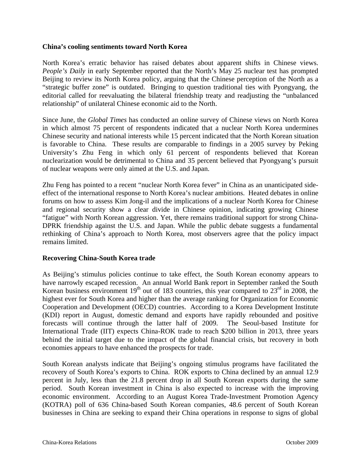#### **China's cooling sentiments toward North Korea**

North Korea's erratic behavior has raised debates about apparent shifts in Chinese views. *People's Daily* in early September reported that the North's May 25 nuclear test has prompted Beijing to review its North Korea policy, arguing that the Chinese perception of the North as a "strategic buffer zone" is outdated. Bringing to question traditional ties with Pyongyang, the editorial called for reevaluating the bilateral friendship treaty and readjusting the "unbalanced relationship" of unilateral Chinese economic aid to the North.

Since June, the *Global Times* has conducted an online survey of Chinese views on North Korea in which almost 75 percent of respondents indicated that a nuclear North Korea undermines Chinese security and national interests while 15 percent indicated that the North Korean situation is favorable to China. These results are comparable to findings in a 2005 survey by Peking University's Zhu Feng in which only 61 percent of respondents believed that Korean nuclearization would be detrimental to China and 35 percent believed that Pyongyang's pursuit of nuclear weapons were only aimed at the U.S. and Japan.

Zhu Feng has pointed to a recent "nuclear North Korea fever" in China as an unanticipated sideeffect of the international response to North Korea's nuclear ambitions. Heated debates in online forums on how to assess Kim Jong-il and the implications of a nuclear North Korea for Chinese and regional security show a clear divide in Chinese opinion, indicating growing Chinese "fatigue" with North Korean aggression. Yet, there remains traditional support for strong China-DPRK friendship against the U.S. and Japan. While the public debate suggests a fundamental rethinking of China's approach to North Korea, most observers agree that the policy impact remains limited.

#### **Recovering China-South Korea trade**

As Beijing's stimulus policies continue to take effect, the South Korean economy appears to have narrowly escaped recession. An annual World Bank report in September ranked the South Korean business environment 19<sup>th</sup> out of 183 countries, this year compared to 23<sup>rd</sup> in 2008, the highest ever for South Korea and higher than the average ranking for Organization for Economic Cooperation and Development (OECD) countries. According to a Korea Development Institute (KDI) report in August, domestic demand and exports have rapidly rebounded and positive forecasts will continue through the latter half of 2009. The Seoul-based Institute for International Trade (IIT) expects China-ROK trade to reach \$200 billion in 2013, three years behind the initial target due to the impact of the global financial crisis, but recovery in both economies appears to have enhanced the prospects for trade.

South Korean analysts indicate that Beijing's ongoing stimulus programs have facilitated the recovery of South Korea's exports to China. ROK exports to China declined by an annual 12.9 percent in July, less than the 21.8 percent drop in all South Korean exports during the same period. South Korean investment in China is also expected to increase with the improving economic environment. According to an August Korea Trade-Investment Promotion Agency (KOTRA) poll of 636 China-based South Korean companies, 48.6 percent of South Korean businesses in China are seeking to expand their China operations in response to signs of global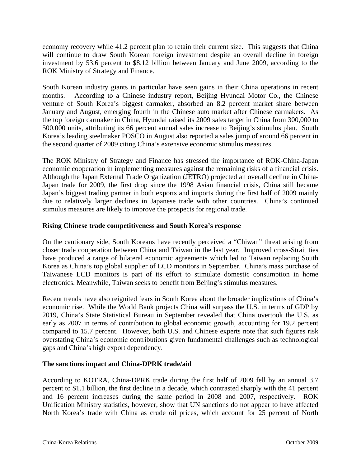economy recovery while 41.2 percent plan to retain their current size. This suggests that China will continue to draw South Korean foreign investment despite an overall decline in foreign investment by 53.6 percent to \$8.12 billion between January and June 2009, according to the ROK Ministry of Strategy and Finance.

South Korean industry giants in particular have seen gains in their China operations in recent months. According to a Chinese industry report, Beijing Hyundai Motor Co., the Chinese venture of South Korea's biggest carmaker, absorbed an 8.2 percent market share between January and August, emerging fourth in the Chinese auto market after Chinese carmakers. As the top foreign carmaker in China, Hyundai raised its 2009 sales target in China from 300,000 to 500,000 units, attributing its 66 percent annual sales increase to Beijing's stimulus plan. South Korea's leading steelmaker POSCO in August also reported a sales jump of around 66 percent in the second quarter of 2009 citing China's extensive economic stimulus measures.

The ROK Ministry of Strategy and Finance has stressed the importance of ROK-China-Japan economic cooperation in implementing measures against the remaining risks of a financial crisis. Although the Japan External Trade Organization (JETRO) projected an overall decline in China-Japan trade for 2009, the first drop since the 1998 Asian financial crisis, China still became Japan's biggest trading partner in both exports and imports during the first half of 2009 mainly due to relatively larger declines in Japanese trade with other countries. China's continued stimulus measures are likely to improve the prospects for regional trade.

## **Rising Chinese trade competitiveness and South Korea's response**

On the cautionary side, South Koreans have recently perceived a "Chiwan" threat arising from closer trade cooperation between China and Taiwan in the last year. Improved cross-Strait ties have produced a range of bilateral economic agreements which led to Taiwan replacing South Korea as China's top global supplier of LCD monitors in September. China's mass purchase of Taiwanese LCD monitors is part of its effort to stimulate domestic consumption in home electronics. Meanwhile, Taiwan seeks to benefit from Beijing's stimulus measures.

Recent trends have also reignited fears in South Korea about the broader implications of China's economic rise. While the World Bank projects China will surpass the U.S. in terms of GDP by 2019, China's State Statistical Bureau in September revealed that China overtook the U.S. as early as 2007 in terms of contribution to global economic growth, accounting for 19.2 percent compared to 15.7 percent. However, both U.S. and Chinese experts note that such figures risk overstating China's economic contributions given fundamental challenges such as technological gaps and China's high export dependency.

#### **The sanctions impact and China-DPRK trade/aid**

According to KOTRA, China-DPRK trade during the first half of 2009 fell by an annual 3.7 percent to \$1.1 billion, the first decline in a decade, which contrasted sharply with the 41 percent and 16 percent increases during the same period in 2008 and 2007, respectively. ROK Unification Ministry statistics, however, show that UN sanctions do not appear to have affected North Korea's trade with China as crude oil prices, which account for 25 percent of North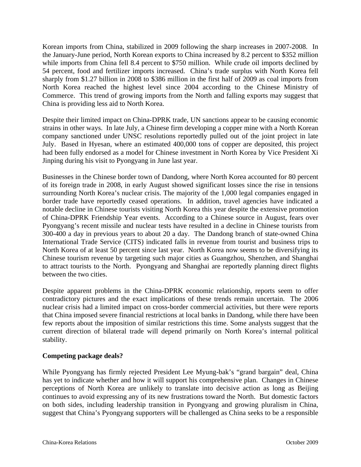Korean imports from China, stabilized in 2009 following the sharp increases in 2007-2008. In the January-June period, North Korean exports to China increased by 8.2 percent to \$352 million while imports from China fell 8.4 percent to \$750 million. While crude oil imports declined by 54 percent, food and fertilizer imports increased. China's trade surplus with North Korea fell sharply from \$1.27 billion in 2008 to \$386 million in the first half of 2009 as coal imports from North Korea reached the highest level since 2004 according to the Chinese Ministry of Commerce. This trend of growing imports from the North and falling exports may suggest that China is providing less aid to North Korea.

Despite their limited impact on China-DPRK trade, UN sanctions appear to be causing economic strains in other ways. In late July, a Chinese firm developing a copper mine with a North Korean company sanctioned under UNSC resolutions reportedly pulled out of the joint project in late July. Based in Hyesan, where an estimated 400,000 tons of copper are deposited, this project had been fully endorsed as a model for Chinese investment in North Korea by Vice President Xi Jinping during his visit to Pyongyang in June last year.

Businesses in the Chinese border town of Dandong, where North Korea accounted for 80 percent of its foreign trade in 2008, in early August showed significant losses since the rise in tensions surrounding North Korea's nuclear crisis. The majority of the 1,000 legal companies engaged in border trade have reportedly ceased operations. In addition, travel agencies have indicated a notable decline in Chinese tourists visiting North Korea this year despite the extensive promotion of China-DPRK Friendship Year events. According to a Chinese source in August, fears over Pyongyang's recent missile and nuclear tests have resulted in a decline in Chinese tourists from 300-400 a day in previous years to about 20 a day. The Dandong branch of state-owned China International Trade Service (CITS) indicated falls in revenue from tourist and business trips to North Korea of at least 50 percent since last year. North Korea now seems to be diversifying its Chinese tourism revenue by targeting such major cities as Guangzhou, Shenzhen, and Shanghai to attract tourists to the North. Pyongyang and Shanghai are reportedly planning direct flights between the two cities.

Despite apparent problems in the China-DPRK economic relationship, reports seem to offer contradictory pictures and the exact implications of these trends remain uncertain. The 2006 nuclear crisis had a limited impact on cross-border commercial activities, but there were reports that China imposed severe financial restrictions at local banks in Dandong, while there have been few reports about the imposition of similar restrictions this time. Some analysts suggest that the current direction of bilateral trade will depend primarily on North Korea's internal political stability.

## **Competing package deals?**

While Pyongyang has firmly rejected President Lee Myung-bak's "grand bargain" deal, China has yet to indicate whether and how it will support his comprehensive plan. Changes in Chinese perceptions of North Korea are unlikely to translate into decisive action as long as Beijing continues to avoid expressing any of its new frustrations toward the North. But domestic factors on both sides, including leadership transition in Pyongyang and growing pluralism in China, suggest that China's Pyongyang supporters will be challenged as China seeks to be a responsible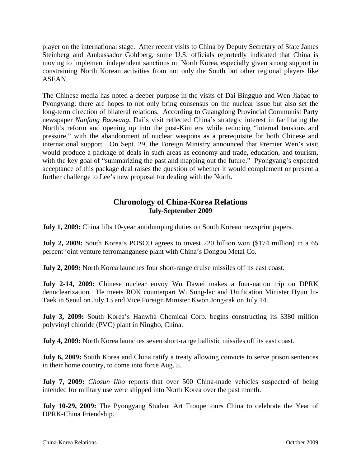player on the international stage. After recent visits to China by Deputy Secretary of State James Steinberg and Ambassador Goldberg, some U.S. officials reportedly indicated that China is moving to implement independent sanctions on North Korea, especially given strong support in constraining North Korean activities from not only the South but other regional players like ASEAN.

The Chinese media has noted a deeper purpose in the visits of Dai Bingguo and Wen Jiabao to Pyongyang: there are hopes to not only bring consensus on the nuclear issue but also set the long-term direction of bilateral relations. According to Guangdong Provincial Communist Party newspaper *Nanfang Baowang*, Dai's visit reflected China's strategic interest in facilitating the North's reform and opening up into the post-Kim era while reducing "internal tensions and pressure," with the abandonment of nuclear weapons as a prerequisite for both Chinese and international support. On Sept. 29, the Foreign Ministry announced that Premier Wen's visit would produce a package of deals in such areas as economy and trade, education, and tourism, with the key goal of "summarizing the past and mapping out the future." Pyongyang's expected acceptance of this package deal raises the question of whether it would complement or present a further challenge to Lee's new proposal for dealing with the North.

## **Chronology of China-Korea Relations July-September 2009**

**July 1, 2009:** China lifts 10-year antidumping duties on South Korean newsprint papers.

**July 2, 2009:** South Korea's POSCO agrees to invest 220 billion won (\$174 million) in a 65 percent joint venture ferromanganese plant with China's Dongbu Metal Co.

**July 2, 2009:** North Korea launches four short-range cruise missiles off its east coast.

**July 2-14, 2009:** Chinese nuclear envoy Wu Dawei makes a four-nation trip on DPRK denuclearization. He meets ROK counterpart Wi Sung-lac and Unification Minister Hyun In-Taek in Seoul on July 13 and Vice Foreign Minister Kwon Jong-rak on July 14.

**July 3, 2009:** South Korea's Hanwha Chemical Corp. begins constructing its \$380 million polyvinyl chloride (PVC) plant in Ningbo, China.

**July 4, 2009:** North Korea launches seven short-range ballistic missiles off its east coast.

**July 6, 2009:** South Korea and China ratify a treaty allowing convicts to serve prison sentences in their home country, to come into force Aug. 5.

**July 7, 2009:** *Chosun Ilbo* reports that over 500 China-made vehicles suspected of being intended for military use were shipped into North Korea over the past month.

**July 10-29, 2009:** The Pyongyang Student Art Troupe tours China to celebrate the Year of DPRK-China Friendship.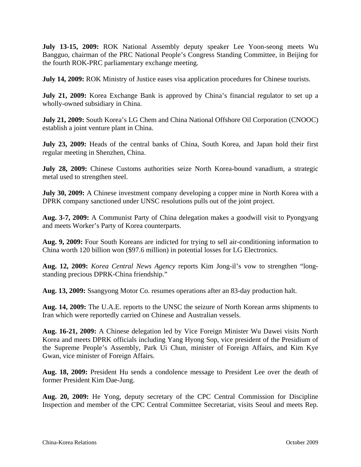**July 13-15, 2009:** ROK National Assembly deputy speaker Lee Yoon-seong meets Wu Bangguo, chairman of the PRC National People's Congress Standing Committee, in Beijing for the fourth ROK-PRC parliamentary exchange meeting.

**July 14, 2009:** ROK Ministry of Justice eases visa application procedures for Chinese tourists.

**July 21, 2009:** Korea Exchange Bank is approved by China's financial regulator to set up a wholly-owned subsidiary in China.

**July 21, 2009:** South Korea's LG Chem and China National Offshore Oil Corporation (CNOOC) establish a joint venture plant in China.

**July 23, 2009:** Heads of the central banks of China, South Korea, and Japan hold their first regular meeting in Shenzhen, China.

**July 28, 2009:** Chinese Customs authorities seize North Korea-bound vanadium, a strategic metal used to strengthen steel.

**July 30, 2009:** A Chinese investment company developing a copper mine in North Korea with a DPRK company sanctioned under UNSC resolutions pulls out of the joint project.

**Aug. 3-7, 2009:** A Communist Party of China delegation makes a goodwill visit to Pyongyang and meets Worker's Party of Korea counterparts.

**Aug. 9, 2009:** Four South Koreans are indicted for trying to sell air-conditioning information to China worth 120 billion won (\$97.6 million) in potential losses for LG Electronics.

**Aug. 12, 2009:** *Korea Central News Agency* reports Kim Jong-il's vow to strengthen "longstanding precious DPRK-China friendship."

**Aug. 13, 2009:** Ssangyong Motor Co. resumes operations after an 83-day production halt.

**Aug. 14, 2009:** The U.A.E. reports to the UNSC the seizure of North Korean arms shipments to Iran which were reportedly carried on Chinese and Australian vessels.

**Aug. 16-21, 2009:** A Chinese delegation led by Vice Foreign Minister Wu Dawei visits North Korea and meets DPRK officials including Yang Hyong Sop, vice president of the Presidium of the Supreme People's Assembly, Park Ui Chun, minister of Foreign Affairs, and Kim Kye Gwan, vice minister of Foreign Affairs.

**Aug. 18, 2009:** President Hu sends a condolence message to President Lee over the death of former President Kim Dae-Jung.

**Aug. 20, 2009:** He Yong, deputy secretary of the CPC Central Commission for Discipline Inspection and member of the CPC Central Committee Secretariat, visits Seoul and meets Rep.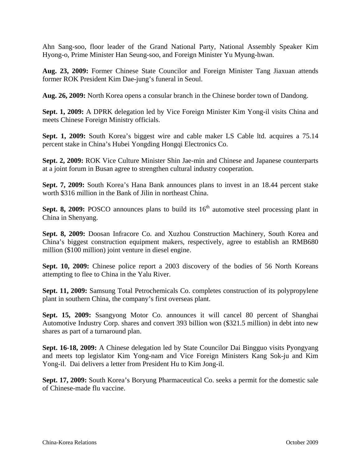Ahn Sang-soo, floor leader of the Grand National Party, National Assembly Speaker Kim Hyong-o, Prime Minister Han Seung-soo, and Foreign Minister Yu Myung-hwan.

**Aug. 23, 2009:** Former Chinese State Councilor and Foreign Minister Tang Jiaxuan attends former ROK President Kim Dae-jung's funeral in Seoul.

**Aug. 26, 2009:** North Korea opens a consular branch in the Chinese border town of Dandong.

**Sept. 1, 2009:** A DPRK delegation led by Vice Foreign Minister Kim Yong-il visits China and meets Chinese Foreign Ministry officials.

**Sept. 1, 2009:** South Korea's biggest wire and cable maker LS Cable ltd. acquires a 75.14 percent stake in China's Hubei Yongding Hongqi Electronics Co.

**Sept. 2, 2009:** ROK Vice Culture Minister Shin Jae-min and Chinese and Japanese counterparts at a joint forum in Busan agree to strengthen cultural industry cooperation.

**Sept. 7, 2009:** South Korea's Hana Bank announces plans to invest in an 18.44 percent stake worth \$316 million in the Bank of Jilin in northeast China.

**Sept. 8, 2009:** POSCO announces plans to build its  $16<sup>th</sup>$  automotive steel processing plant in China in Shenyang.

**Sept. 8, 2009:** Doosan Infracore Co. and Xuzhou Construction Machinery, South Korea and China's biggest construction equipment makers, respectively, agree to establish an RMB680 million (\$100 million) joint venture in diesel engine.

**Sept. 10, 2009:** Chinese police report a 2003 discovery of the bodies of 56 North Koreans attempting to flee to China in the Yalu River.

**Sept. 11, 2009:** Samsung Total Petrochemicals Co. completes construction of its polypropylene plant in southern China, the company's first overseas plant.

**Sept. 15, 2009:** Ssangyong Motor Co. announces it will cancel 80 percent of Shanghai Automotive Industry Corp. shares and convert 393 billion won (\$321.5 million) in debt into new shares as part of a turnaround plan.

**Sept. 16-18, 2009:** A Chinese delegation led by State Councilor Dai Bingguo visits Pyongyang and meets top legislator Kim Yong-nam and Vice Foreign Ministers Kang Sok-ju and Kim Yong-il. Dai delivers a letter from President Hu to Kim Jong-il.

**Sept. 17, 2009:** South Korea's Boryung Pharmaceutical Co. seeks a permit for the domestic sale of Chinese-made flu vaccine.